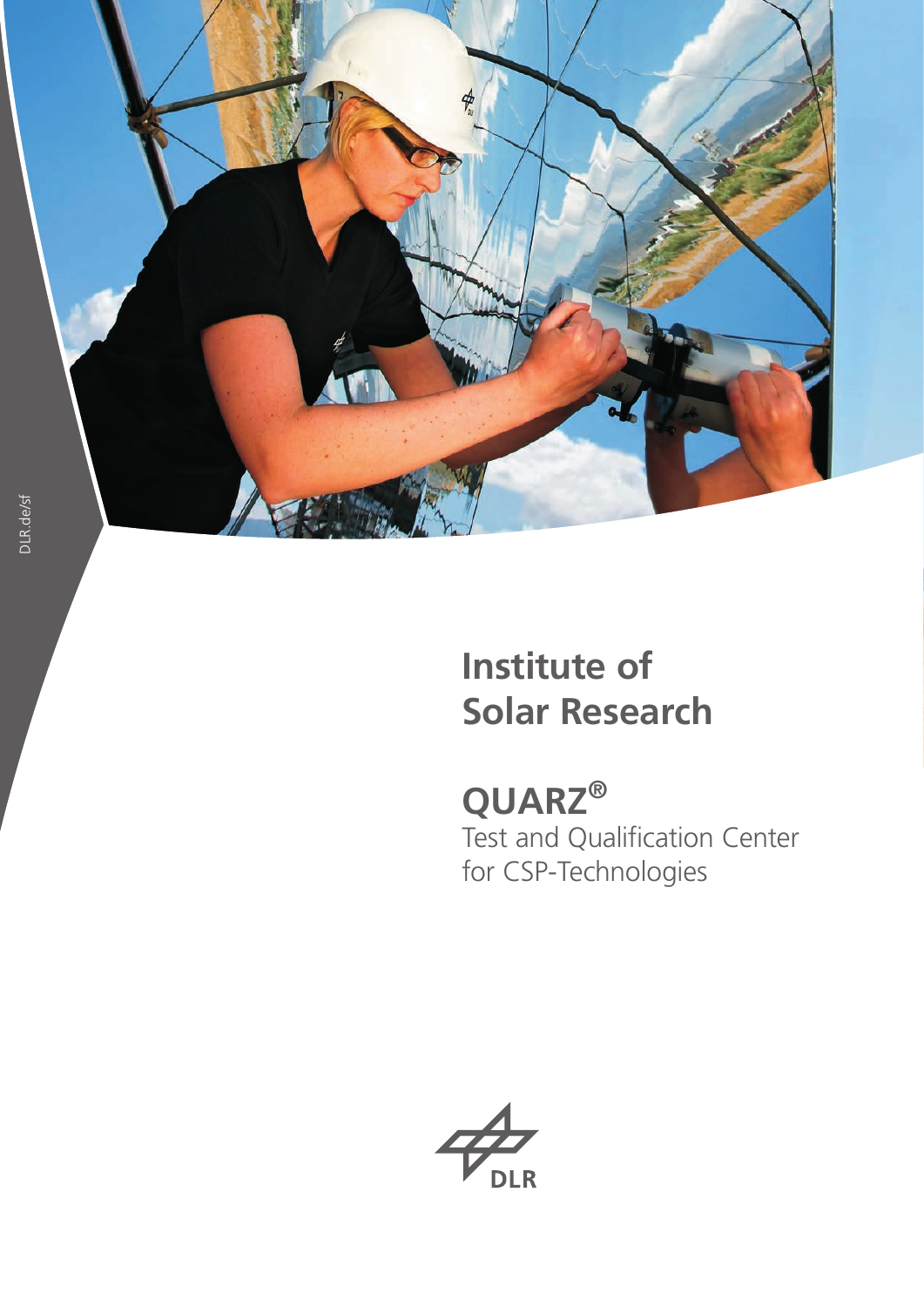

# **Institute of Solar Research**

**QUARZ ®** Test and Qualification Center for CSP -Technologies

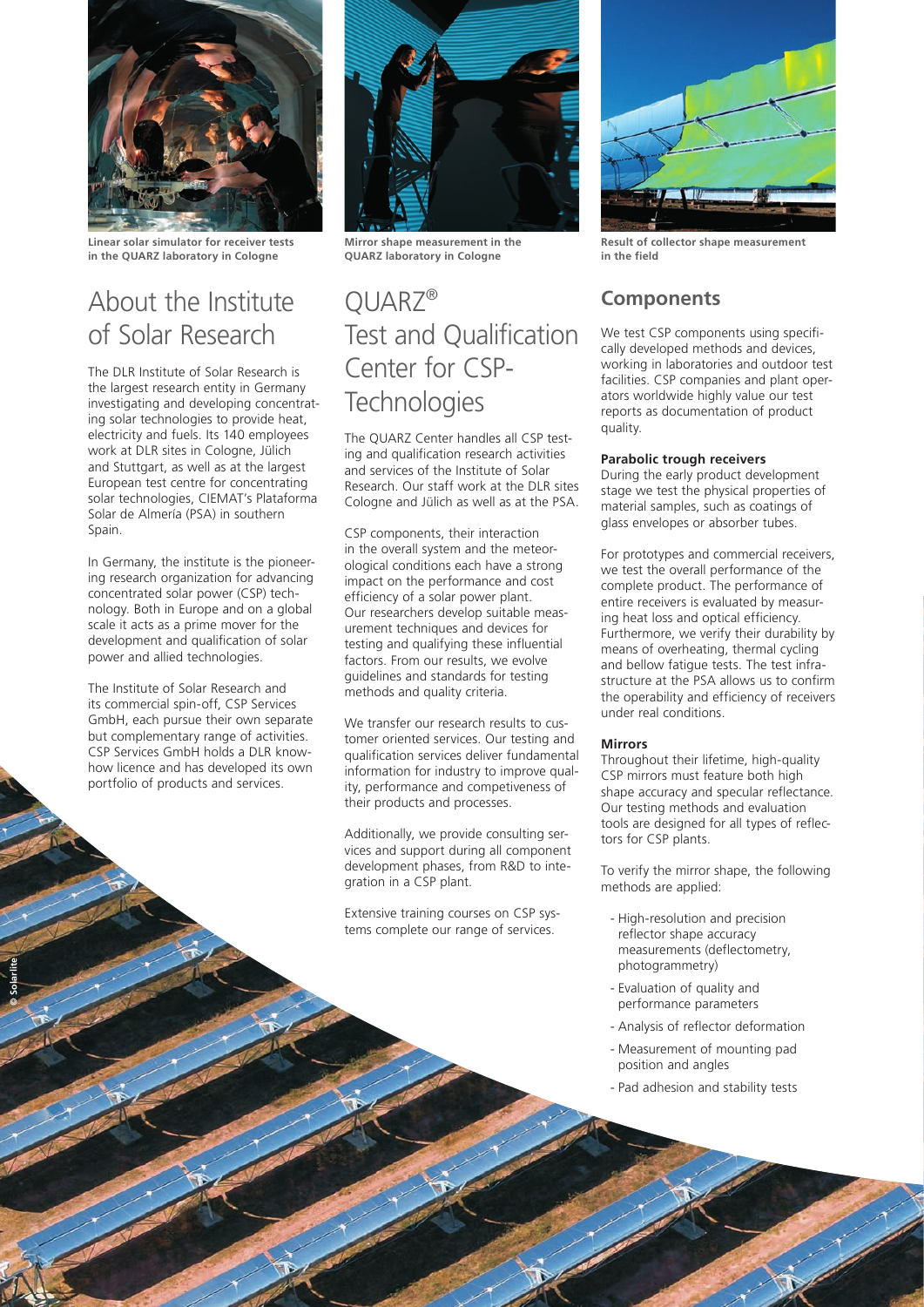

**Linear solar simulator for receiver tests in the QUARZ laboratory in Cologne**

## About the Institute of Solar Research

The DLR Institute of Solar Research is the largest research entity in Germany investigating and developing concentrating solar technologies to provide heat, electricity and fuels. Its 140 employees work at DLR sites in Cologne, Jülich and Stuttgart, as well as at the largest European test centre for concentrating solar technologies, CIEMAT's Plataforma Solar de Almería (PSA) in southern Spain.

In Germany, the institute is the pioneering research organization for advancing concentrated solar power (CSP) technology. Both in Europe and on a global scale it acts as a prime mover for the development and qualification of solar power and allied technologies.

The Institute of Solar Research and its commercial spin-off, CSP Services GmbH, each pursue their own separate but complementary range of activities. CSP Services GmbH holds a DLR knowhow licence and has developed its own portfolio of products and services.

**© Solarlite**



**Mirror shape measurement in the QUARZ laboratory in Cologne**

## QUARZ® Test and Qualification Center for CSP-**Technologies**

The QUARZ Center handles all CSP testing and qualification research activities and services of the Institute of Solar Research. Our staff work at the DLR sites Cologne and Jülich as well as at the PSA.

CSP components, their interaction in the overall system and the meteorological conditions each have a strong impact on the performance and cost efficiency of a solar power plant. Our researchers develop suitable measurement techniques and devices for testing and qualifying these influential factors. From our results, we evolve guidelines and standards for testing methods and quality criteria.

We transfer our research results to customer oriented services. Our testing and qualification services deliver fundamental information for industry to improve quality, performance and competiveness of their products and processes.

Additionally, we provide consulting services and support during all component development phases, from R&D to integration in a CSP plant.

Extensive training courses on CSP systems complete our range of services.



**Result of collector shape measurement in the field**

## **Components**

We test CSP components using specifically developed methods and devices, working in laboratories and outdoor test facilities. CSP companies and plant operators worldwide highly value our test reports as documentation of product quality.

### **Parabolic trough receivers**

During the early product development stage we test the physical properties of material samples, such as coatings of glass envelopes or absorber tubes.

For prototypes and commercial receivers, we test the overall performance of the complete product. The performance of entire receivers is evaluated by measuring heat loss and optical efficiency. Furthermore, we verify their durability by means of overheating, thermal cycling and bellow fatigue tests. The test infrastructure at the PSA allows us to confirm the operability and efficiency of receivers under real conditions.

### **Mirrors**

Throughout their lifetime, high-quality CSP mirrors must feature both high shape accuracy and specular reflectance. Our testing methods and evaluation tools are designed for all types of reflectors for CSP plants.

To verify the mirror shape, the following methods are applied:

- High-resolution and precision reflector shape accuracy measurements (deflectometry, photogrammetry)
- Evaluation of quality and performance parameters
- Analysis of reflector deformation
- Measurement of mounting pad position and angles
- Pad adhesion and stability tests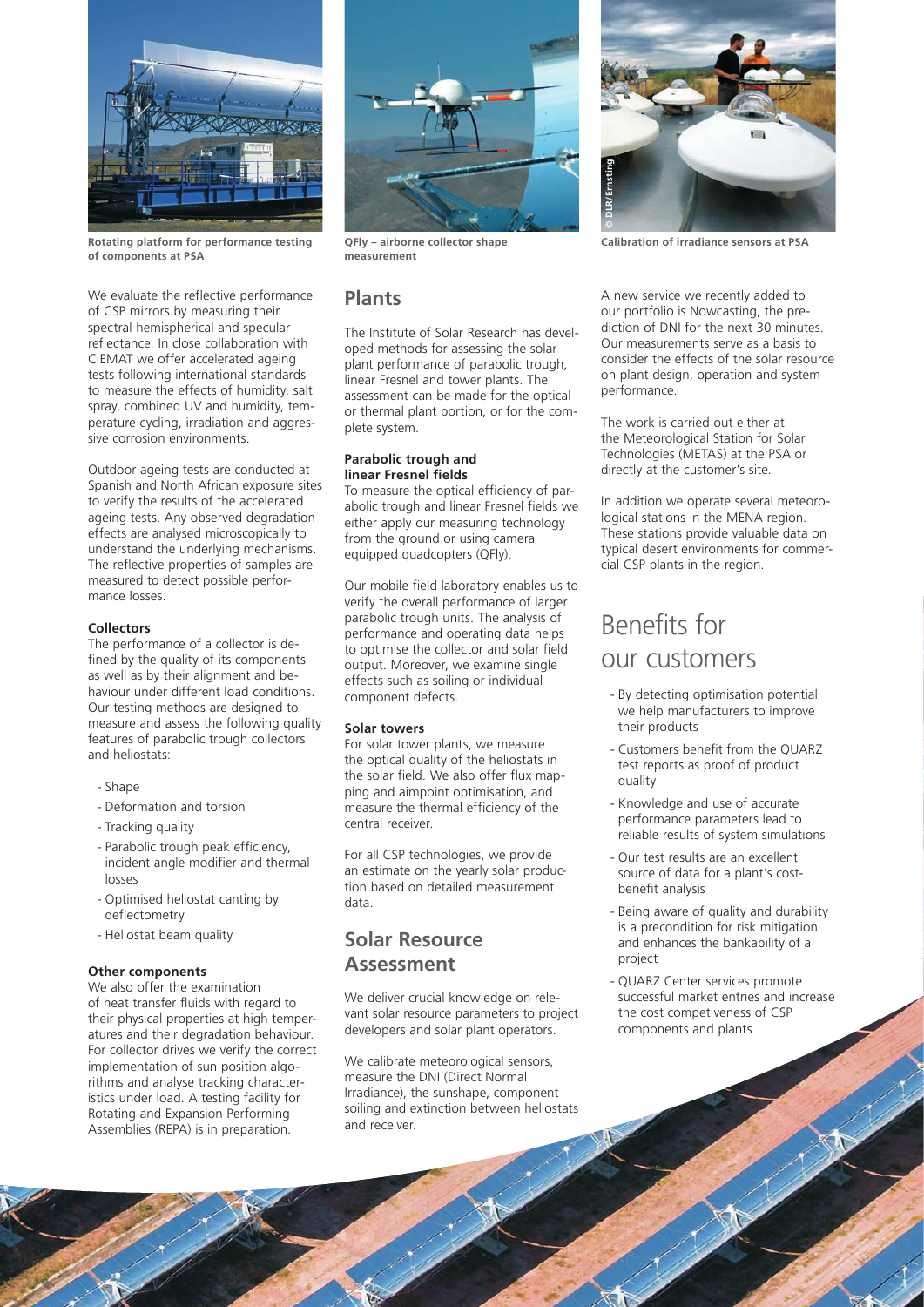

Rotating platform for performance testing QFly – airborne collector shape Calibration of irradiance sensors at PSA **of components at PSA**

We evaluate the reflective performance of CSP mirrors by measuring their spectral hemispherical and specular reflectance. In close collaboration with CIEMAT we offer accelerated ageing tests following international standards to measure the effects of humidity, salt spray, combined UV and humidity, temperature cycling, irradiation and aggressive corrosion environments.

Outdoor ageing tests are conducted at Spanish and North African exposure sites to verify the results of the accelerated ageing tests. Any observed degradation effects are analysed microscopically to understand the underlying mechanisms. The reflective properties of samples are measured to detect possible performance losses.

#### **Collectors**

The performance of a collector is defined by the quality of its components as well as by their alignment and behaviour under different load conditions. Our testing methods are designed to measure and assess the following quality features of parabolic trough collectors and heliostats:

- Shape
- Deformation and torsion
- Tracking quality
- Parabolic trough peak efficiency, incident angle modifier and thermal losses
- Optimised heliostat canting by deflectometry
- Heliostat beam quality

#### **Other components**

We also offer the examination of heat transfer fluids with regard to their physical properties at high temperatures and their degradation behaviour. For collector drives we verify the correct implementation of sun position algorithms and analyse tracking characteristics under load. A testing facility for Rotating and Expansion Performing Assemblies (REPA) is in preparation.



**QFly – airborne collector shape measurement**

## **Plants**

The Institute of Solar Research has developed methods for assessing the solar plant performance of parabolic trough, linear Fresnel and tower plants. The assessment can be made for the optical or thermal plant portion, or for the complete system.

#### **Parabolic trough and linear Fresnel fields**

To measure the optical efficiency of parabolic trough and linear Fresnel fields we either apply our measuring technology from the ground or using camera equipped quadcopters (QFly).

Our mobile field laboratory enables us to verify the overall performance of larger parabolic trough units. The analysis of performance and operating data helps to optimise the collector and solar field output. Moreover, we examine single effects such as soiling or individual component defects.

### **Solar towers**

For solar tower plants, we measure the optical quality of the heliostats in the solar field. We also offer flux mapping and aimpoint optimisation, and measure the thermal efficiency of the central receiver.

For all CSP technologies, we provide an estimate on the yearly solar production based on detailed measurement data.

## **Solar Resource Assessment**

We deliver crucial knowledge on relevant solar resource parameters to project developers and solar plant operators.

We calibrate meteorological sensors, measure the DNI (Direct Normal Irradiance), the sunshape, component soiling and extinction between heliostats and receiver.



A new service we recently added to our portfolio is Nowcasting, the prediction of DNI for the next 30 minutes. Our measurements serve as a basis to consider the effects of the solar resource on plant design, operation and system performance.

The work is carried out either at the Meteorological Station for Solar Technologies (METAS) at the PSA or directly at the customer's site.

In addition we operate several meteorological stations in the MENA region. These stations provide valuable data on typical desert environments for commercial CSP plants in the region.

## Benefits for our customers

- By detecting optimisation potential we help manufacturers to improve their products
- Customers benefit from the QUARZ test reports as proof of product quality
- Knowledge and use of accurate performance parameters lead to reliable results of system simulations
- Our test results are an excellent source of data for a plant's costbenefit analysis
- Being aware of quality and durability is a precondition for risk mitigation and enhances the bankability of a project
- QUARZ Center services promote successful market entries and increase the cost competiveness of CSP components and plants